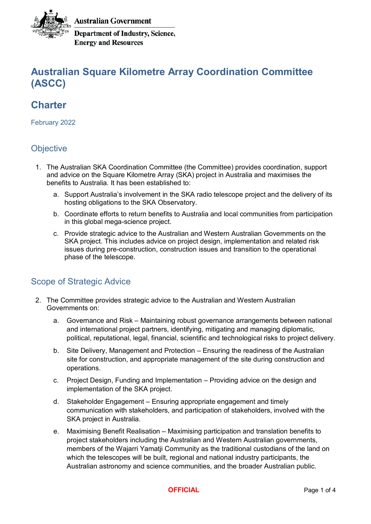

**Australian Government** 

**Department of Industry, Science, Energy and Resources** 

# **Australian Square Kilometre Array Coordination Committee (ASCC)**

# **Charter**

February 2022

## **Objective**

- 1. The Australian SKA Coordination Committee (the Committee) provides coordination, support and advice on the Square Kilometre Array (SKA) project in Australia and maximises the benefits to Australia. It has been established to:
	- a. Support Australia's involvement in the SKA radio telescope project and the delivery of its hosting obligations to the SKA Observatory.
	- b. Coordinate efforts to return benefits to Australia and local communities from participation in this global mega-science project.
	- c. Provide strategic advice to the Australian and Western Australian Governments on the SKA project. This includes advice on project design, implementation and related risk issues during pre-construction, construction issues and transition to the operational phase of the telescope.

## Scope of Strategic Advice

- 2. The Committee provides strategic advice to the Australian and Western Australian Governments on:
	- a. Governance and Risk Maintaining robust governance arrangements between national and international project partners, identifying, mitigating and managing diplomatic, political, reputational, legal, financial, scientific and technological risks to project delivery.
	- b. Site Delivery, Management and Protection Ensuring the readiness of the Australian site for construction, and appropriate management of the site during construction and operations.
	- c. Project Design, Funding and Implementation Providing advice on the design and implementation of the SKA project.
	- d. Stakeholder Engagement Ensuring appropriate engagement and timely communication with stakeholders, and participation of stakeholders, involved with the SKA project in Australia.
	- e. Maximising Benefit Realisation Maximising participation and translation benefits to project stakeholders including the Australian and Western Australian governments, members of the Wajarri Yamatji Community as the traditional custodians of the land on which the telescopes will be built, regional and national industry participants, the Australian astronomy and science communities, and the broader Australian public.

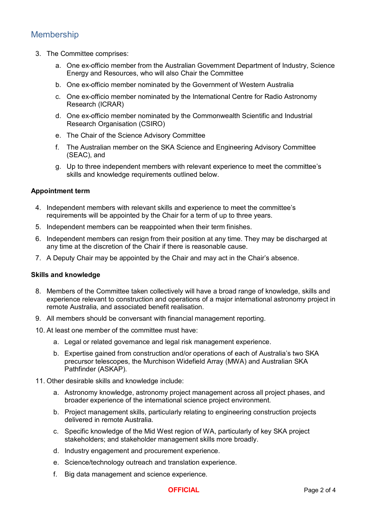## Membership

- 3. The Committee comprises:
	- a. One ex-officio member from the Australian Government Department of Industry, Science Energy and Resources, who will also Chair the Committee
	- b. One ex-officio member nominated by the Government of Western Australia
	- c. One ex-officio member nominated by the International Centre for Radio Astronomy Research (ICRAR)
	- d. One ex-officio member nominated by the Commonwealth Scientific and Industrial Research Organisation (CSIRO)
	- e. The Chair of the Science Advisory Committee
	- f. The Australian member on the SKA Science and Engineering Advisory Committee (SEAC), and
	- g. Up to three independent members with relevant experience to meet the committee's skills and knowledge requirements outlined below.

#### **Appointment term**

- 4. Independent members with relevant skills and experience to meet the committee's requirements will be appointed by the Chair for a term of up to three years.
- 5. Independent members can be reappointed when their term finishes.
- 6. Independent members can resign from their position at any time. They may be discharged at any time at the discretion of the Chair if there is reasonable cause.
- 7. A Deputy Chair may be appointed by the Chair and may act in the Chair's absence.

#### **Skills and knowledge**

- 8. Members of the Committee taken collectively will have a broad range of knowledge, skills and experience relevant to construction and operations of a major international astronomy project in remote Australia, and associated benefit realisation.
- 9. All members should be conversant with financial management reporting.
- 10. At least one member of the committee must have:
	- a. Legal or related governance and legal risk management experience.
	- b. Expertise gained from construction and/or operations of each of Australia's two SKA precursor telescopes, the Murchison Widefield Array (MWA) and Australian SKA Pathfinder (ASKAP).
- 11. Other desirable skills and knowledge include:
	- a. Astronomy knowledge, astronomy project management across all project phases, and broader experience of the international science project environment.
	- b. Project management skills, particularly relating to engineering construction projects delivered in remote Australia.
	- c. Specific knowledge of the Mid West region of WA, particularly of key SKA project stakeholders; and stakeholder management skills more broadly.
	- d. Industry engagement and procurement experience.
	- e. Science/technology outreach and translation experience.
	- f. Big data management and science experience.

#### **OFFICIAL** Page 2 of 4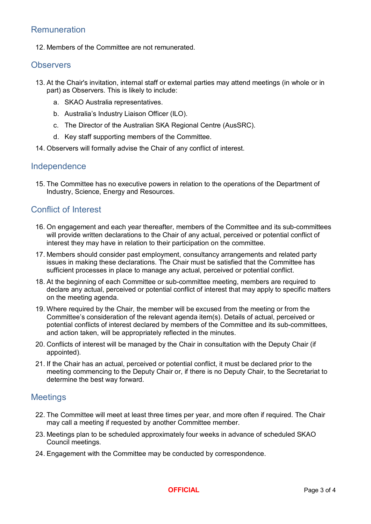## Remuneration

12. Members of the Committee are not remunerated.

#### **Observers**

- 13. At the Chair's invitation, internal staff or external parties may attend meetings (in whole or in part) as Observers. This is likely to include:
	- a. SKAO Australia representatives.
	- b. Australia's Industry Liaison Officer (ILO).
	- c. The Director of the Australian SKA Regional Centre (AusSRC).
	- d. Key staff supporting members of the Committee.
- 14. Observers will formally advise the Chair of any conflict of interest.

#### Independence

15. The Committee has no executive powers in relation to the operations of the Department of Industry, Science, Energy and Resources.

### Conflict of Interest

- 16. On engagement and each year thereafter, members of the Committee and its sub-committees will provide written declarations to the Chair of any actual, perceived or potential conflict of interest they may have in relation to their participation on the committee.
- 17. Members should consider past employment, consultancy arrangements and related party issues in making these declarations. The Chair must be satisfied that the Committee has sufficient processes in place to manage any actual, perceived or potential conflict.
- 18. At the beginning of each Committee or sub-committee meeting, members are required to declare any actual, perceived or potential conflict of interest that may apply to specific matters on the meeting agenda.
- 19. Where required by the Chair, the member will be excused from the meeting or from the Committee's consideration of the relevant agenda item(s). Details of actual, perceived or potential conflicts of interest declared by members of the Committee and its sub-committees, and action taken, will be appropriately reflected in the minutes.
- 20. Conflicts of interest will be managed by the Chair in consultation with the Deputy Chair (if appointed).
- 21. If the Chair has an actual, perceived or potential conflict, it must be declared prior to the meeting commencing to the Deputy Chair or, if there is no Deputy Chair, to the Secretariat to determine the best way forward.

#### **Meetings**

- 22. The Committee will meet at least three times per year, and more often if required. The Chair may call a meeting if requested by another Committee member.
- 23. Meetings plan to be scheduled approximately four weeks in advance of scheduled SKAO Council meetings.
- 24. Engagement with the Committee may be conducted by correspondence.

**OFFICIAL** Page 3 of 4